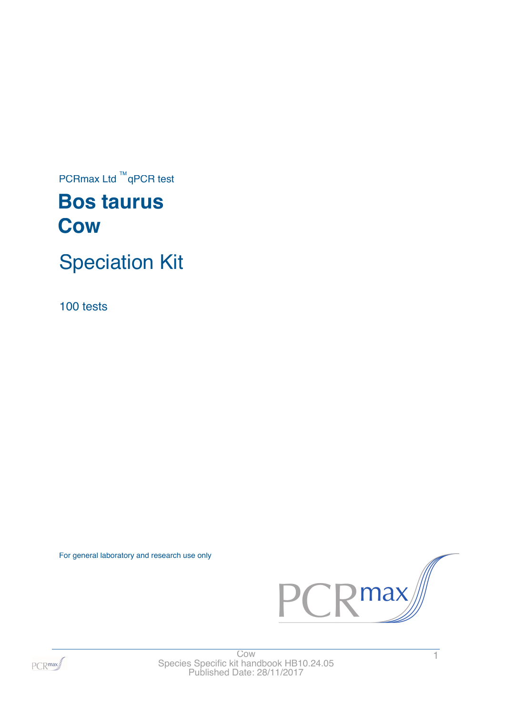$PCRmax$  Ltd  $TM$ qPCR test

# **Bos taurus Cow**

# Speciation Kit

100 tests

For general laboratory and research use only





 $\frac{1}{1}$ Species Specific kit handbook HB10.24.05 Published Date: 28/11/2017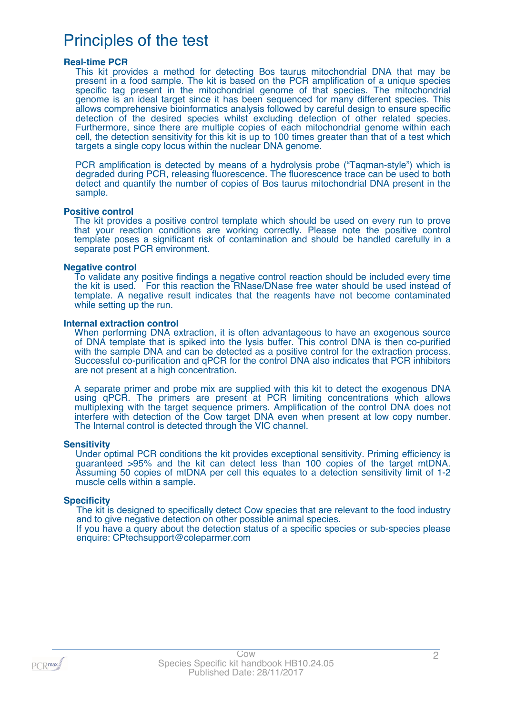# Principles of the test

### **Real-time PCR**

This kit provides a method for detecting Bos taurus mitochondrial DNA that may be present in a food sample. The kit is based on the PCR amplification of a unique species specific tag present in the mitochondrial genome of that species. The mitochondrial genome is an ideal target since it has been sequenced for many different species. This allows comprehensive bioinformatics analysis followed by careful design to ensure specific detection of the desired species whilst excluding detection of other related species. Furthermore, since there are multiple copies of each mitochondrial genome within each cell, the detection sensitivity for this kit is up to 100 times greater than that of a test which targets a single copy locus within the nuclear DNA genome.

PCR amplification is detected by means of a hydrolysis probe ("Taqman-style") which is degraded during PCR, releasing fluorescence. The fluorescence trace can be used to both detect and quantify the number of copies of Bos taurus mitochondrial DNA present in the sample.

#### **Positive control**

The kit provides a positive control template which should be used on every run to prove that your reaction conditions are working correctly. Please note the positive control template poses a significant risk of contamination and should be handled carefully in a separate post PCR environment.

#### **Negative control**

To validate any positive findings a negative control reaction should be included every time the kit is used. For this reaction the RNase/DNase free water should be used instead of template. A negative result indicates that the reagents have not become contaminated while setting up the run.

#### **Internal extraction control**

When performing DNA extraction, it is often advantageous to have an exogenous source of DNA template that is spiked into the lysis buffer. This control DNA is then co-purified with the sample DNA and can be detected as a positive control for the extraction process. Successful co-purification and qPCR for the control DNA also indicates that PCR inhibitors are not present at a high concentration.

A separate primer and probe mix are supplied with this kit to detect the exogenous DNA using qPCR. The primers are present at PCR limiting concentrations which allows multiplexing with the target sequence primers. Amplification of the control DNA does not interfere with detection of the Cow target DNA even when present at low copy number. The Internal control is detected through the VIC channel.

#### **Sensitivity**

Under optimal PCR conditions the kit provides exceptional sensitivity. Priming efficiency is guaranteed >95% and the kit can detect less than 100 copies of the target mtDNA. Assuming 50 copies of mtDNA per cell this equates to a detection sensitivity limit of 1-2 muscle cells within a sample.

### **Specificity**

The kit is designed to specifically detect Cow species that are relevant to the food industry and to give negative detection on other possible animal species.

If you have a query about the detection status of a specific species or sub-species please enquire: CPtechsupport@coleparmer.com

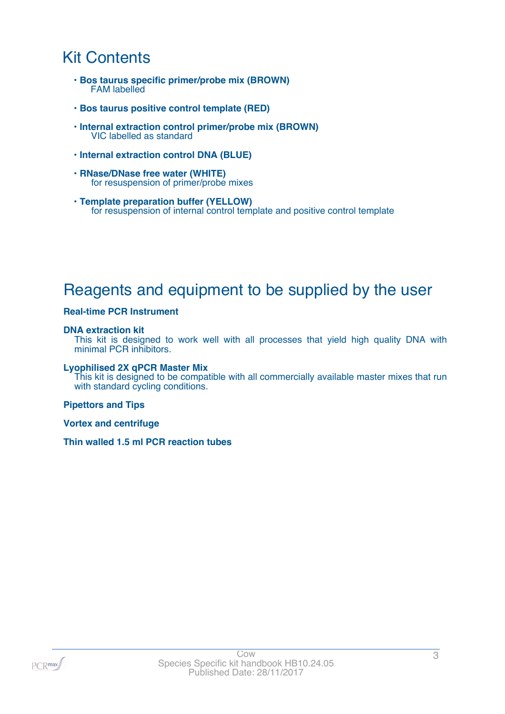# Kit Contents

- **Bos taurus specific primer/probe mix (BROWN)** FAM labelled
- **Bos taurus positive control template (RED)**
- **Internal extraction control primer/probe mix (BROWN)** VIC labelled as standard
- **Internal extraction control DNA (BLUE)**
- **RNase/DNase free water (WHITE)** for resuspension of primer/probe mixes
- **Template preparation buffer (YELLOW)** for resuspension of internal control template and positive control template

# Reagents and equipment to be supplied by the user

### **Real-time PCR Instrument**

### **DNA extraction kit**

This kit is designed to work well with all processes that yield high quality DNA with minimal PCR inhibitors.

### **Lyophilised 2X qPCR Master Mix**

This kit is designed to be compatible with all commercially available master mixes that run with standard cycling conditions.

### **Pipettors and Tips**

**Vortex and centrifuge**

**Thin walled 1.5 ml PCR reaction tubes**

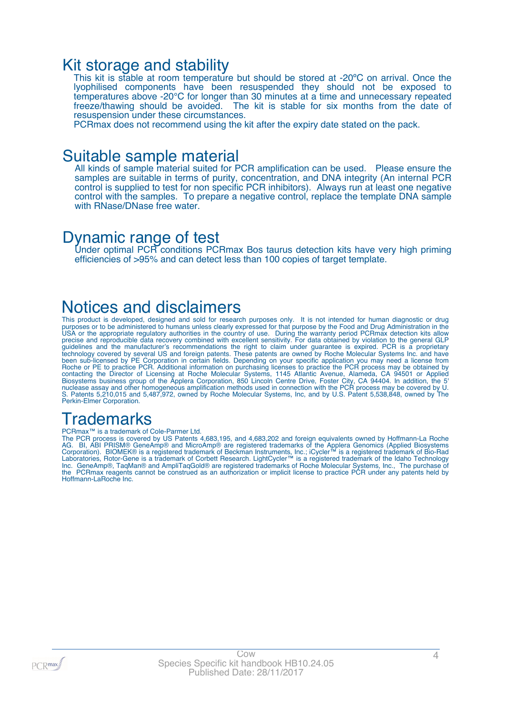### Kit storage and stability

This kit is stable at room temperature but should be stored at -20ºC on arrival. Once the lyophilised components have been resuspended they should not be exposed to temperatures above -20°C for longer than 30 minutes at a time and unnecessary repeated freeze/thawing should be avoided. The kit is stable for six months from the date of resuspension under these circumstances.

PCRmax does not recommend using the kit after the expiry date stated on the pack.

### Suitable sample material

All kinds of sample material suited for PCR amplification can be used. Please ensure the samples are suitable in terms of purity, concentration, and DNA integrity (An internal PCR control is supplied to test for non specific PCR inhibitors). Always run at least one negative control with the samples. To prepare a negative control, replace the template DNA sample with RNase/DNase free water.

### Dynamic range of test

Under optimal PCR conditions PCRmax Bos taurus detection kits have very high priming efficiencies of >95% and can detect less than 100 copies of target template.

# Notices and disclaimers

This product is developed, designed and sold for research purposes only. It is not intended for human diagnostic or drug purposes or to be administered to humans unless clearly expressed for that purpose by the Food and Drug Administration in the USA or the appropriate regulatory authorities in the country of use. During the warranty period PCRmax detection kits allow precise and reproducible data recovery combined with excellent sensitivity. For data obtained by violation to the general GLP guidelines and the manufacturer's recommendations the right to claim under guarantee is expired. PCR is a proprietary technology covered by several US and foreign patents. These patents are owned by Roche Molecular Systems Inc. and have been sub-licensed by PE Corporation in certain fields. Depending on your specific application you may need a license from Roche or PE to practice PCR. Additional information on purchasing licenses to practice the PCR process may be obtained by contacting the Director of Licensing at Roche Molecular Systems, 1145 Atlantic Avenue, Alameda, CA 94501 or Applied Biosystems business group of the Applera Corporation, 850 Lincoln Centre Drive, Foster City, CA 94404. In addition, the 5' nuclease assay and other homogeneous amplification methods used in connection with the PCR process may be covered by U. S. Patents 5,210,015 and 5,487,972, owned by Roche Molecular Systems, Inc, and by U.S. Patent 5,538,848, owned by The Perkin-Elmer Corporation.

# **Trademarks**

#### PCRmax™ is a trademark of Cole-Parmer Ltd.

The PCR process is covered by US Patents 4,683,195, and 4,683,202 and foreign equivalents owned by Hoffmann-La Roche AG. BI, ABI PRISM® GeneAmp® and MicroAmp® are registered trademarks of the Applera Genomics (Applied Biosystems Corporation). BIOMEK® is a registered trademark of Beckman Instruments, Inc.; iCycler™ is a registered trademark of Bio-Rad Laboratories, Rotor-Gene is a trademark of Corbett Research. LightCycler™ is a registered trademark of the Idaho Technology Inc. GeneAmp®, TaqMan® and AmpliTaqGold® are registered trademarks of Roche Molecular Systems, Inc., The purchase of the PCRmax reagents cannot be construed as an authorization or implicit license to practice PCR under any patents held by Hoffmann-LaRoche Inc.

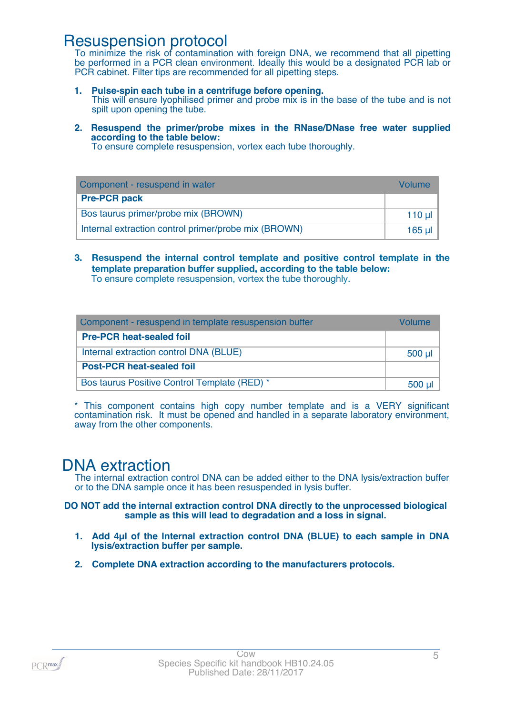### Resuspension protocol

To minimize the risk of contamination with foreign DNA, we recommend that all pipetting be performed in a PCR clean environment. Ideally this would be a designated PCR lab or PCR cabinet. Filter tips are recommended for all pipetting steps.

- **1. Pulse-spin each tube in a centrifuge before opening.** This will ensure lyophilised primer and probe mix is in the base of the tube and is not spilt upon opening the tube.
- **2. Resuspend the primer/probe mixes in the RNase/DNase free water supplied according to the table below:**

To ensure complete resuspension, vortex each tube thoroughly.

| Component - resuspend in water                       | Volume    |
|------------------------------------------------------|-----------|
| <b>Pre-PCR pack</b>                                  |           |
| Bos taurus primer/probe mix (BROWN)                  | $110 \mu$ |
| Internal extraction control primer/probe mix (BROWN) | 165 ul 1  |

**3. Resuspend the internal control template and positive control template in the template preparation buffer supplied, according to the table below:** To ensure complete resuspension, vortex the tube thoroughly.

| Component - resuspend in template resuspension buffer | Volume      |
|-------------------------------------------------------|-------------|
| <b>Pre-PCR heat-sealed foil</b>                       |             |
| Internal extraction control DNA (BLUE)                | $500$ $\mu$ |
| <b>Post-PCR heat-sealed foil</b>                      |             |
| Bos taurus Positive Control Template (RED) *          | $500$ µ     |

\* This component contains high copy number template and is a VERY significant contamination risk. It must be opened and handled in a separate laboratory environment, away from the other components.

# DNA extraction

The internal extraction control DNA can be added either to the DNA lysis/extraction buffer or to the DNA sample once it has been resuspended in lysis buffer.

### **DO NOT add the internal extraction control DNA directly to the unprocessed biological sample as this will lead to degradation and a loss in signal.**

- **1. Add 4µl of the Internal extraction control DNA (BLUE) to each sample in DNA lysis/extraction buffer per sample.**
- **2. Complete DNA extraction according to the manufacturers protocols.**

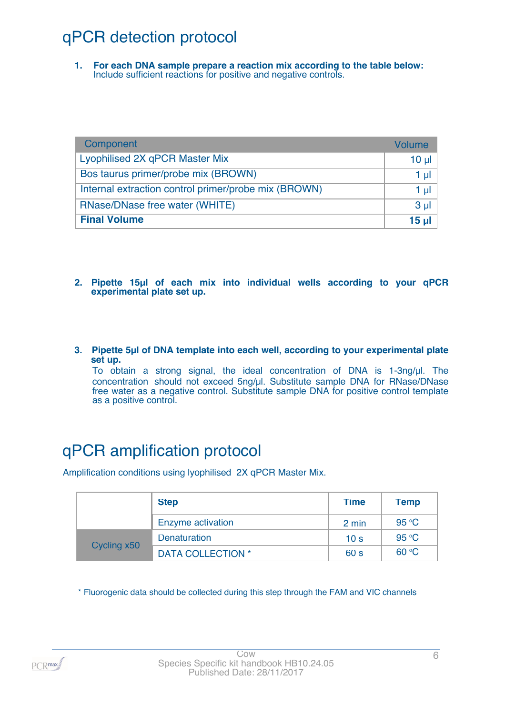# qPCR detection protocol

**1. For each DNA sample prepare a reaction mix according to the table below:** Include sufficient reactions for positive and negative controls.

| Component                                            | Volume   |
|------------------------------------------------------|----------|
| Lyophilised 2X qPCR Master Mix                       | $10 \mu$ |
| Bos taurus primer/probe mix (BROWN)                  | $1 \mu$  |
| Internal extraction control primer/probe mix (BROWN) | $1 \mu$  |
| RNase/DNase free water (WHITE)                       | $3 \mu$  |
| <b>Final Volume</b>                                  | $15$ µ   |

- **2. Pipette 15µl of each mix into individual wells according to your qPCR experimental plate set up.**
- **3. Pipette 5µl of DNA template into each well, according to your experimental plate set up.**

To obtain a strong signal, the ideal concentration of DNA is 1-3ng/µl. The concentration should not exceed 5ng/µl. Substitute sample DNA for RNase/DNase free water as a negative control. Substitute sample DNA for positive control template as a positive control.

# qPCR amplification protocol

Amplification conditions using lyophilised 2X qPCR Master Mix.

|             | <b>Step</b>              | <b>Time</b>     | <b>Temp</b>    |
|-------------|--------------------------|-----------------|----------------|
|             | Enzyme activation        | 2 min           | 95 °C          |
| Cycling x50 | Denaturation             | 10 <sub>s</sub> | 95 $\degree$ C |
|             | <b>DATA COLLECTION *</b> | 60 <sub>s</sub> | 60 °C          |

\* Fluorogenic data should be collected during this step through the FAM and VIC channels

 $PCR$ max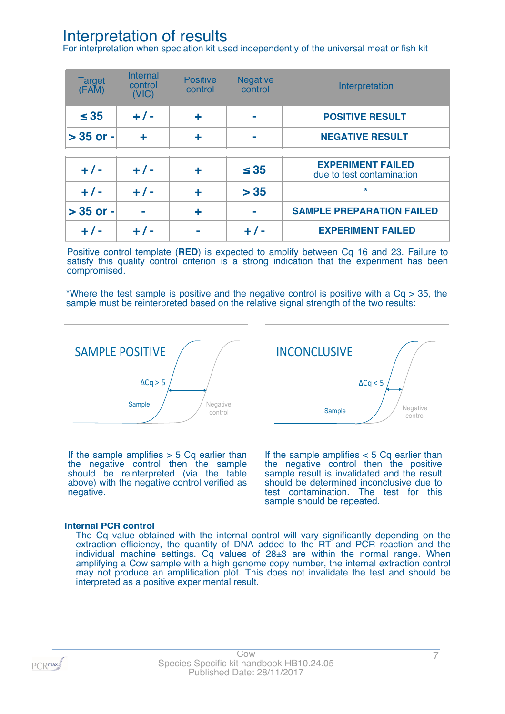# Interpretation of results

For interpretation when speciation kit used independently of the universal meat or fish kit

| <b>Target</b><br>(FAM) | <b>Internal</b><br>control<br>(VIC) | <b>Positive</b><br>control | <b>Negative</b><br>control | Interpretation                                        |
|------------------------|-------------------------------------|----------------------------|----------------------------|-------------------------------------------------------|
| $\leq 35$              | $+/-$                               | ÷                          |                            | <b>POSITIVE RESULT</b>                                |
| $>$ 35 or -            | ÷                                   | ٠                          |                            | <b>NEGATIVE RESULT</b>                                |
|                        |                                     |                            |                            |                                                       |
| $+ 1 -$                | $+/-$                               | ٠                          | $\leq 35$                  | <b>EXPERIMENT FAILED</b><br>due to test contamination |
| $+/-$                  | $+ 1 -$                             | ٠                          | > 35                       | $\star$                                               |
| $> 35$ or -            |                                     | ٠                          |                            | <b>SAMPLE PREPARATION FAILED</b>                      |
| $+/-$                  | $+ 1 -$                             |                            | $+ 1 -$                    | <b>EXPERIMENT FAILED</b>                              |

Positive control template (**RED**) is expected to amplify between Cq 16 and 23. Failure to satisfy this quality control criterion is a strong indication that the experiment has been compromised.

\*Where the test sample is positive and the negative control is positive with a  $Cq > 35$ , the sample must be reinterpreted based on the relative signal strength of the two results:



If the sample amplifies  $> 5$  Cq earlier than the negative control then the sample should be reinterpreted (via the table above) with the negative control verified as negative.



If the sample amplifies  $< 5$  Cq earlier than the negative control then the positive sample result is invalidated and the result should be determined inconclusive due to test contamination. The test for this sample should be repeated.

### **Internal PCR control**

The Cq value obtained with the internal control will vary significantly depending on the extraction efficiency, the quantity of DNA added to the RT and PCR reaction and the individual machine settings. Cq values of 28±3 are within the normal range. When amplifying a Cow sample with a high genome copy number, the internal extraction control may not produce an amplification plot. This does not invalidate the test and should be interpreted as a positive experimental result.

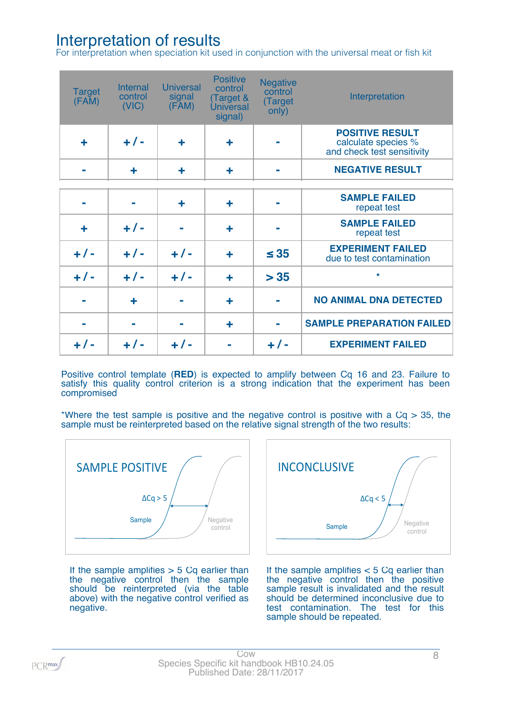# Interpretation of results

For interpretation when speciation kit used in conjunction with the universal meat or fish kit

| <b>Target</b><br>(FAM) | Internal<br>control<br>(VIC) | <b>Universal</b><br>signal<br>(FAM) | <b>Positive</b><br>control<br>(Target &<br><b>Universal</b><br>signal) | <b>Negative</b><br>control<br>(Target<br>only) | Interpretation                                                              |
|------------------------|------------------------------|-------------------------------------|------------------------------------------------------------------------|------------------------------------------------|-----------------------------------------------------------------------------|
| ÷                      | $+/-$                        | ╋                                   | ╋                                                                      |                                                | <b>POSITIVE RESULT</b><br>calculate species %<br>and check test sensitivity |
|                        | ٠                            | ╋                                   | ٠                                                                      |                                                | <b>NEGATIVE RESULT</b>                                                      |
|                        |                              | ÷                                   | ╋                                                                      |                                                | <b>SAMPLE FAILED</b><br>repeat test                                         |
| ╋                      | $+/-$                        |                                     | ╋                                                                      |                                                | <b>SAMPLE FAILED</b><br>repeat test                                         |
| $+/-$                  | $+/-$                        | $+/-$                               | ╋                                                                      | $\leq$ 35                                      | <b>EXPERIMENT FAILED</b><br>due to test contamination                       |
| $+/-$                  | $+/-$                        | $+ 1 -$                             | ╋                                                                      | > 35                                           | $\star$                                                                     |
|                        | ╋                            |                                     | ╋                                                                      |                                                | <b>NO ANIMAL DNA DETECTED</b>                                               |
|                        |                              |                                     | ٠                                                                      |                                                | <b>SAMPLE PREPARATION FAILED</b>                                            |
| $+/-$                  | $+/-$                        | $+/-$                               |                                                                        | $+/-$                                          | <b>EXPERIMENT FAILED</b>                                                    |

Positive control template (**RED**) is expected to amplify between Cq 16 and 23. Failure to satisfy this quality control criterion is a strong indication that the experiment has been compromised

\*Where the test sample is positive and the negative control is positive with a  $Cq > 35$ , the sample must be reinterpreted based on the relative signal strength of the two results:



If the sample amplifies  $> 5$  Cq earlier than the negative control then the sample should be reinterpreted (via the table above) with the negative control verified as negative.



If the sample amplifies  $< 5$  Cq earlier than the negative control then the positive sample result is invalidated and the result should be determined inconclusive due to test contamination. The test for this sample should be repeated.

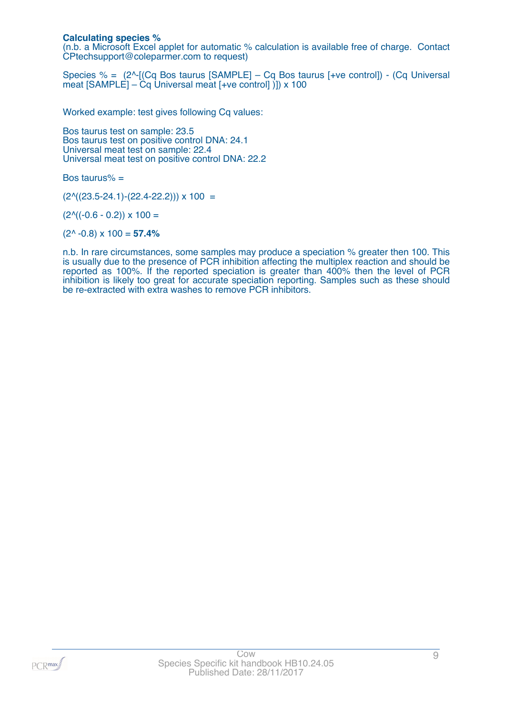### **Calculating species %**

(n.b. a Microsoft Excel applet for automatic % calculation is available free of charge. Contact CPtechsupport@coleparmer.com to request)

Species % =  $(2^{\wedge}$ -[(Cq Bos taurus [SAMPLE] – Cq Bos taurus [+ve control]) - (Cq Universal meat [SAMPLE] – Cq Universal meat [+ve control] )]) x 100

Worked example: test gives following Cq values:

Bos taurus test on sample: 23.5 Bos taurus test on positive control DNA: 24.1 Universal meat test on sample: 22.4 Universal meat test on positive control DNA: 22.2

Bos taurus% =

 $(2^{\text{A}}((23.5-24.1)-(22.4-22.2))) \times 100 =$ 

 $(2^{\wedge}((-0.6 - 0.2)) \times 100 =$ 

(2^ -0.8) x 100 = **57.4%**

n.b. In rare circumstances, some samples may produce a speciation % greater then 100. This is usually due to the presence of PCR inhibition affecting the multiplex reaction and should be reported as 100%. If the reported speciation is greater than 400% then the level of PCR inhibition is likely too great for accurate speciation reporting. Samples such as these should be re-extracted with extra washes to remove PCR inhibitors.